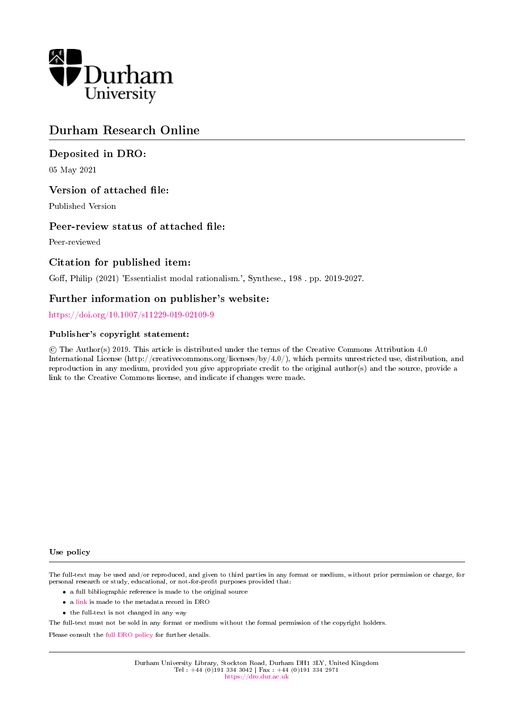

# Durham Research Online

# Deposited in DRO:

05 May 2021

## Version of attached file:

Published Version

### Peer-review status of attached file:

Peer-reviewed

## Citation for published item:

Goff, Philip (2021) 'Essentialist modal rationalism.', Synthese., 198. pp. 2019-2027.

### Further information on publisher's website:

<https://doi.org/10.1007/s11229-019-02109-9>

### Publisher's copyright statement:

 c The Author(s) 2019. This article is distributed under the terms of the Creative Commons Attribution 4.0 International License (http://creativecommons.org/licenses/by/4.0/), which permits unrestricted use, distribution, and reproduction in any medium, provided you give appropriate credit to the original author(s) and the source, provide a link to the Creative Commons license, and indicate if changes were made.

#### Use policy

The full-text may be used and/or reproduced, and given to third parties in any format or medium, without prior permission or charge, for personal research or study, educational, or not-for-profit purposes provided that:

- a full bibliographic reference is made to the original source
- a [link](http://dro.dur.ac.uk/28257/) is made to the metadata record in DRO
- the full-text is not changed in any way

The full-text must not be sold in any format or medium without the formal permission of the copyright holders.

Please consult the [full DRO policy](https://dro.dur.ac.uk/policies/usepolicy.pdf) for further details.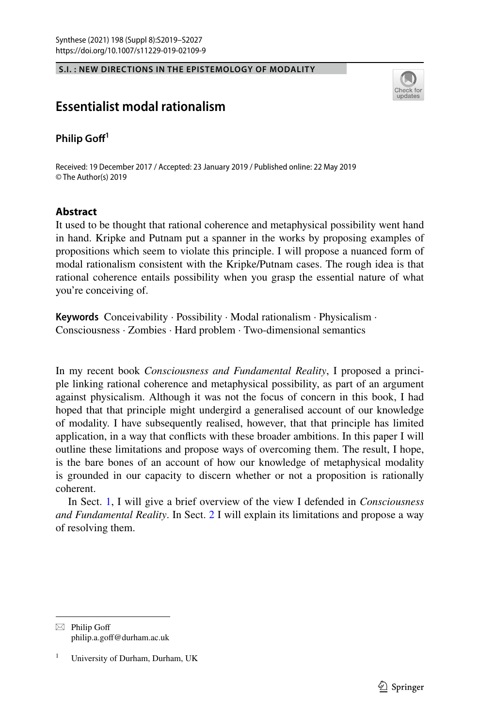**S.I. : NEW DIRECTIONS IN THE EPISTEMOLOGY OF MODALITY**



# **Essentialist modal rationalism**

### **Philip Gof<sup>1</sup>**

Received: 19 December 2017 / Accepted: 23 January 2019 / Published online: 22 May 2019 © The Author(s) 2019

#### **Abstract**

It used to be thought that rational coherence and metaphysical possibility went hand in hand. Kripke and Putnam put a spanner in the works by proposing examples of propositions which seem to violate this principle. I will propose a nuanced form of modal rationalism consistent with the Kripke/Putnam cases. The rough idea is that rational coherence entails possibility when you grasp the essential nature of what you're conceiving of.

**Keywords** Conceivability · Possibility · Modal rationalism · Physicalism · Consciousness · Zombies · Hard problem · Two-dimensional semantics

In my recent book *Consciousness and Fundamental Reality*, I proposed a principle linking rational coherence and metaphysical possibility, as part of an argument against physicalism. Although it was not the focus of concern in this book, I had hoped that that principle might undergird a generalised account of our knowledge of modality. I have subsequently realised, however, that that principle has limited application, in a way that conficts with these broader ambitions. In this paper I will outline these limitations and propose ways of overcoming them. The result, I hope, is the bare bones of an account of how our knowledge of metaphysical modality is grounded in our capacity to discern whether or not a proposition is rationally coherent.

In Sect. [1,](#page-2-0) I will give a brief overview of the view I defended in *Consciousness and Fundamental Reality*. In Sect. [2](#page-3-0) I will explain its limitations and propose a way of resolving them.

 $\boxtimes$  Philip Goff philip.a.gof@durham.ac.uk

<sup>1</sup> University of Durham, Durham, UK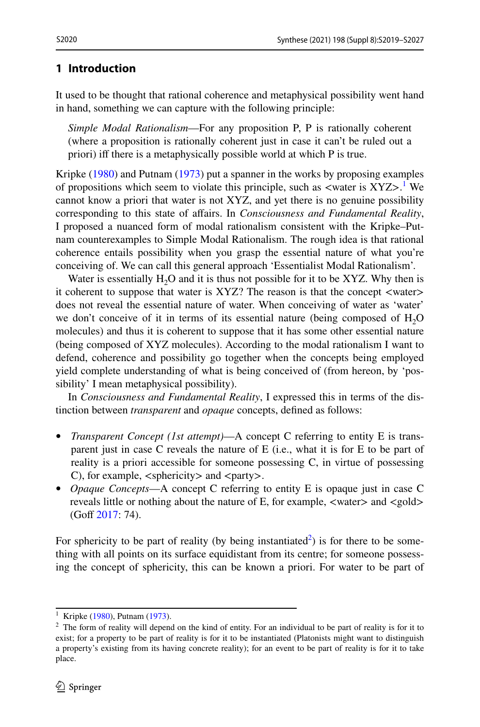### <span id="page-2-0"></span>**1 Introduction**

It used to be thought that rational coherence and metaphysical possibility went hand in hand, something we can capture with the following principle:

*Simple Modal Rationalism*—For any proposition P, P is rationally coherent (where a proposition is rationally coherent just in case it can't be ruled out a priori) if there is a metaphysically possible world at which P is true.

Kripke ([1980\)](#page-9-0) and Putnam ([1973\)](#page-9-1) put a spanner in the works by proposing examples of propositions which seem to violate this principle, such as  $\langle$ water is XYZ $>$ .<sup>[1](#page-2-1)</sup> We cannot know a priori that water is not XYZ, and yet there is no genuine possibility corresponding to this state of afairs. In *Consciousness and Fundamental Reality*, I proposed a nuanced form of modal rationalism consistent with the Kripke–Putnam counterexamples to Simple Modal Rationalism. The rough idea is that rational coherence entails possibility when you grasp the essential nature of what you're conceiving of. We can call this general approach 'Essentialist Modal Rationalism'.

Water is essentially  $H_2O$  and it is thus not possible for it to be XYZ. Why then is it coherent to suppose that water is XYZ? The reason is that the concept <water> does not reveal the essential nature of water. When conceiving of water as 'water' we don't conceive of it in terms of its essential nature (being composed of  $H_2O$ molecules) and thus it is coherent to suppose that it has some other essential nature (being composed of XYZ molecules). According to the modal rationalism I want to defend, coherence and possibility go together when the concepts being employed yield complete understanding of what is being conceived of (from hereon, by 'possibility' I mean metaphysical possibility).

In *Consciousness and Fundamental Reality*, I expressed this in terms of the distinction between *transparent* and *opaque* concepts, defned as follows:

- *Transparent Concept (1st attempt)*—A concept C referring to entity E is transparent just in case C reveals the nature of E (i.e., what it is for E to be part of reality is a priori accessible for someone possessing C, in virtue of possessing C), for example,  $\langle$ sphericity $\rangle$  and  $\langle$ party $\rangle$ .
- *Opaque Concepts*—A concept C referring to entity E is opaque just in case C reveals little or nothing about the nature of E, for example,  $\langle$  water $\rangle$  and  $\langle$  gold $\rangle$  $(Goff 2017: 74)$  $(Goff 2017: 74)$  $(Goff 2017: 74)$ .

For sphericity to be part of reality (by being instantiated<sup>2</sup>) is for there to be something with all points on its surface equidistant from its centre; for someone possessing the concept of sphericity, this can be known a priori. For water to be part of

<span id="page-2-1"></span><sup>&</sup>lt;sup>1</sup> Kripke ([1980\)](#page-9-0), Putnam ([1973\)](#page-9-1).

<span id="page-2-2"></span> $2<sup>2</sup>$  The form of reality will depend on the kind of entity. For an individual to be part of reality is for it to exist; for a property to be part of reality is for it to be instantiated (Platonists might want to distinguish a property's existing from its having concrete reality); for an event to be part of reality is for it to take place.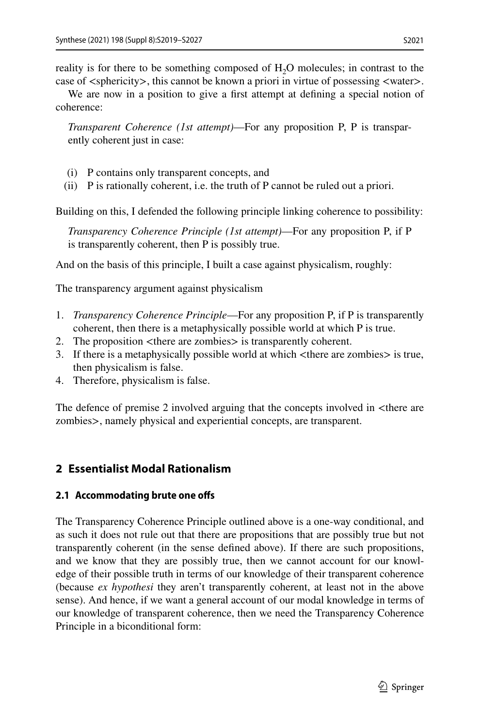case of <sphericity>, this cannot be known a priori in virtue of possessing <water>.

We are now in a position to give a frst attempt at defning a special notion of coherence:

*Transparent Coherence (1st attempt)*—For any proposition P, P is transparently coherent just in case:

- (i) P contains only transparent concepts, and
- (ii) P is rationally coherent, i.e. the truth of P cannot be ruled out a priori.

Building on this, I defended the following principle linking coherence to possibility:

*Transparency Coherence Principle (1st attempt)*—For any proposition P, if P is transparently coherent, then P is possibly true.

And on the basis of this principle, I built a case against physicalism, roughly:

The transparency argument against physicalism

- 1. *Transparency Coherence Principle*—For any proposition P, if P is transparently coherent, then there is a metaphysically possible world at which P is true.
- 2. The proposition <there are zombies> is transparently coherent.
- 3. If there is a metaphysically possible world at which <there are zombies> is true, then physicalism is false.
- 4. Therefore, physicalism is false.

The defence of premise 2 involved arguing that the concepts involved in <there are zombies>, namely physical and experiential concepts, are transparent.

## <span id="page-3-0"></span>**2 Essentialist Modal Rationalism**

### **2.1 Accommodating brute one ofs**

The Transparency Coherence Principle outlined above is a one-way conditional, and as such it does not rule out that there are propositions that are possibly true but not transparently coherent (in the sense defned above). If there are such propositions, and we know that they are possibly true, then we cannot account for our knowledge of their possible truth in terms of our knowledge of their transparent coherence (because *ex hypothesi* they aren't transparently coherent, at least not in the above sense). And hence, if we want a general account of our modal knowledge in terms of our knowledge of transparent coherence, then we need the Transparency Coherence Principle in a biconditional form: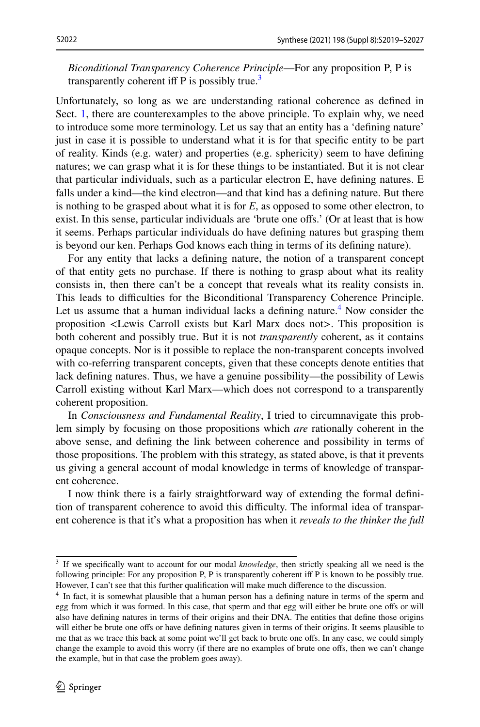*Biconditional Transparency Coherence Principle*—For any proposition P, P is transparently coherent iff P is possibly true.<sup>[3](#page-4-0)</sup>

Unfortunately, so long as we are understanding rational coherence as defned in Sect. [1,](#page-2-0) there are counterexamples to the above principle. To explain why, we need to introduce some more terminology. Let us say that an entity has a 'defning nature' just in case it is possible to understand what it is for that specifc entity to be part of reality. Kinds (e.g. water) and properties (e.g. sphericity) seem to have defning natures; we can grasp what it is for these things to be instantiated. But it is not clear that particular individuals, such as a particular electron E, have defning natures. E falls under a kind—the kind electron—and that kind has a defning nature. But there is nothing to be grasped about what it is for *E*, as opposed to some other electron, to exist. In this sense, particular individuals are 'brute one ofs.' (Or at least that is how it seems. Perhaps particular individuals do have defning natures but grasping them is beyond our ken. Perhaps God knows each thing in terms of its defning nature).

For any entity that lacks a defning nature, the notion of a transparent concept of that entity gets no purchase. If there is nothing to grasp about what its reality consists in, then there can't be a concept that reveals what its reality consists in. This leads to difculties for the Biconditional Transparency Coherence Principle. Let us assume that a human individual lacks a defining nature.<sup>[4](#page-4-1)</sup> Now consider the proposition <Lewis Carroll exists but Karl Marx does not>. This proposition is both coherent and possibly true. But it is not *transparently* coherent, as it contains opaque concepts. Nor is it possible to replace the non-transparent concepts involved with co-referring transparent concepts, given that these concepts denote entities that lack defning natures. Thus, we have a genuine possibility—the possibility of Lewis Carroll existing without Karl Marx—which does not correspond to a transparently coherent proposition.

In *Consciousness and Fundamental Reality*, I tried to circumnavigate this problem simply by focusing on those propositions which *are* rationally coherent in the above sense, and defning the link between coherence and possibility in terms of those propositions. The problem with this strategy, as stated above, is that it prevents us giving a general account of modal knowledge in terms of knowledge of transparent coherence.

I now think there is a fairly straightforward way of extending the formal defnition of transparent coherence to avoid this difficulty. The informal idea of transparent coherence is that it's what a proposition has when it *reveals to the thinker the full* 

<span id="page-4-0"></span><sup>3</sup> If we specifcally want to account for our modal *knowledge*, then strictly speaking all we need is the following principle: For any proposition P, P is transparently coherent iff P is known to be possibly true. However, I can't see that this further qualification will make much difference to the discussion.

<span id="page-4-1"></span><sup>&</sup>lt;sup>4</sup> In fact, it is somewhat plausible that a human person has a defining nature in terms of the sperm and egg from which it was formed. In this case, that sperm and that egg will either be brute one ofs or will also have defning natures in terms of their origins and their DNA. The entities that defne those origins will either be brute one ofs or have defning natures given in terms of their origins. It seems plausible to me that as we trace this back at some point we'll get back to brute one ofs. In any case, we could simply change the example to avoid this worry (if there are no examples of brute one offs, then we can't change the example, but in that case the problem goes away).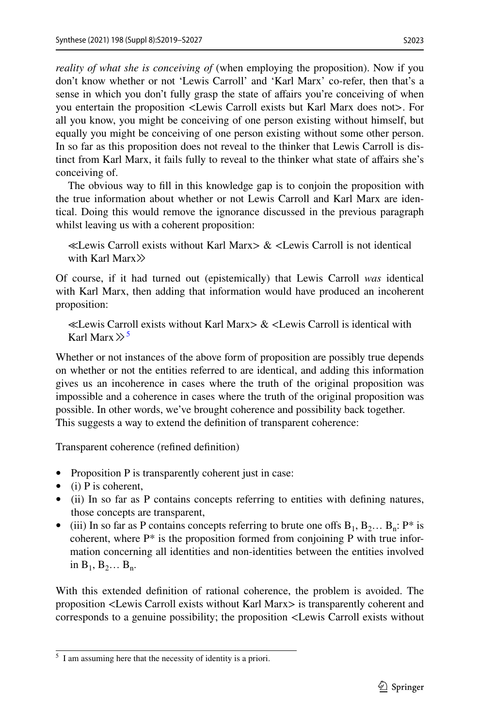*reality of what she is conceiving of* (when employing the proposition). Now if you don't know whether or not 'Lewis Carroll' and 'Karl Marx' co-refer, then that's a sense in which you don't fully grasp the state of affairs you're conceiving of when you entertain the proposition <Lewis Carroll exists but Karl Marx does not>. For all you know, you might be conceiving of one person existing without himself, but equally you might be conceiving of one person existing without some other person. In so far as this proposition does not reveal to the thinker that Lewis Carroll is distinct from Karl Marx, it fails fully to reveal to the thinker what state of afairs she's conceiving of.

The obvious way to fll in this knowledge gap is to conjoin the proposition with the true information about whether or not Lewis Carroll and Karl Marx are identical. Doing this would remove the ignorance discussed in the previous paragraph whilst leaving us with a coherent proposition:

≪Lewis Carroll exists without Karl Marx> & <Lewis Carroll is not identical with Karl Marx<sup>>></sup>

Of course, if it had turned out (epistemically) that Lewis Carroll *was* identical with Karl Marx, then adding that information would have produced an incoherent proposition:

≪Lewis Carroll exists without Karl Marx> & <Lewis Carroll is identical with Karl Marx  $\gg$ <sup>[5](#page-5-0)</sup>

Whether or not instances of the above form of proposition are possibly true depends on whether or not the entities referred to are identical, and adding this information gives us an incoherence in cases where the truth of the original proposition was impossible and a coherence in cases where the truth of the original proposition was possible. In other words, we've brought coherence and possibility back together. This suggests a way to extend the defnition of transparent coherence:

Transparent coherence (refned defnition)

- Proposition P is transparently coherent just in case:
- (i) P is coherent,
- (ii) In so far as P contains concepts referring to entities with defining natures, those concepts are transparent,
- (iii) In so far as P contains concepts referring to brute one offs  $B_1, B_2, \ldots B_n$ : P<sup>\*</sup> is coherent, where  $P^*$  is the proposition formed from conjoining P with true information concerning all identities and non-identities between the entities involved in  $B_1, B_2... B_n$ .

With this extended defnition of rational coherence, the problem is avoided. The proposition <Lewis Carroll exists without Karl Marx> is transparently coherent and corresponds to a genuine possibility; the proposition <Lewis Carroll exists without

<span id="page-5-0"></span><sup>5</sup> I am assuming here that the necessity of identity is a priori.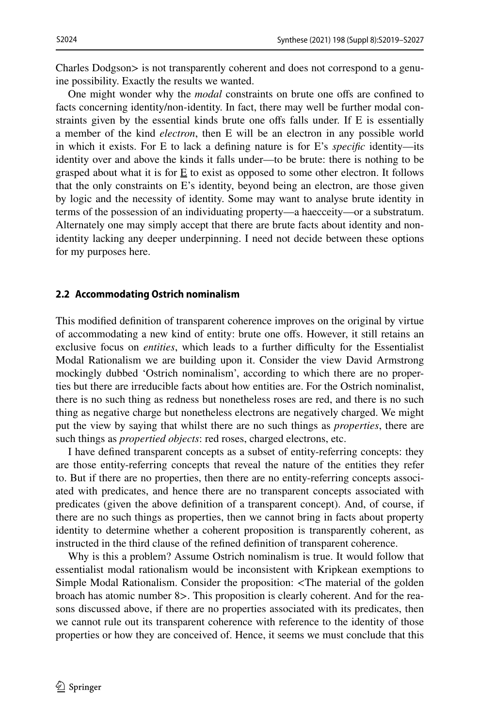Charles Dodgson> is not transparently coherent and does not correspond to a genuine possibility. Exactly the results we wanted.

One might wonder why the *modal* constraints on brute one ofs are confned to facts concerning identity/non-identity. In fact, there may well be further modal constraints given by the essential kinds brute one ofs falls under. If E is essentially a member of the kind *electron*, then E will be an electron in any possible world in which it exists. For E to lack a defning nature is for E's *specifc* identity—its identity over and above the kinds it falls under—to be brute: there is nothing to be grasped about what it is for  $E$  to exist as opposed to some other electron. It follows that the only constraints on E's identity, beyond being an electron, are those given by logic and the necessity of identity. Some may want to analyse brute identity in terms of the possession of an individuating property—a haecceity—or a substratum. Alternately one may simply accept that there are brute facts about identity and nonidentity lacking any deeper underpinning. I need not decide between these options for my purposes here.

#### **2.2 Accommodating Ostrich nominalism**

This modifed defnition of transparent coherence improves on the original by virtue of accommodating a new kind of entity: brute one ofs. However, it still retains an exclusive focus on *entities*, which leads to a further difficulty for the Essentialist Modal Rationalism we are building upon it. Consider the view David Armstrong mockingly dubbed 'Ostrich nominalism', according to which there are no properties but there are irreducible facts about how entities are. For the Ostrich nominalist, there is no such thing as redness but nonetheless roses are red, and there is no such thing as negative charge but nonetheless electrons are negatively charged. We might put the view by saying that whilst there are no such things as *properties*, there are such things as *propertied objects*: red roses, charged electrons, etc.

I have defned transparent concepts as a subset of entity-referring concepts: they are those entity-referring concepts that reveal the nature of the entities they refer to. But if there are no properties, then there are no entity-referring concepts associated with predicates, and hence there are no transparent concepts associated with predicates (given the above defnition of a transparent concept). And, of course, if there are no such things as properties, then we cannot bring in facts about property identity to determine whether a coherent proposition is transparently coherent, as instructed in the third clause of the refned defnition of transparent coherence.

Why is this a problem? Assume Ostrich nominalism is true. It would follow that essentialist modal rationalism would be inconsistent with Kripkean exemptions to Simple Modal Rationalism. Consider the proposition: <The material of the golden broach has atomic number 8>. This proposition is clearly coherent. And for the reasons discussed above, if there are no properties associated with its predicates, then we cannot rule out its transparent coherence with reference to the identity of those properties or how they are conceived of. Hence, it seems we must conclude that this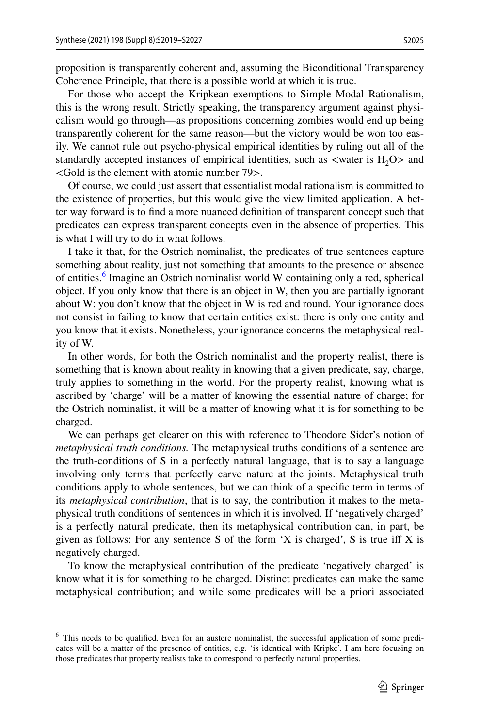proposition is transparently coherent and, assuming the Biconditional Transparency Coherence Principle, that there is a possible world at which it is true.

For those who accept the Kripkean exemptions to Simple Modal Rationalism, this is the wrong result. Strictly speaking, the transparency argument against physicalism would go through—as propositions concerning zombies would end up being transparently coherent for the same reason—but the victory would be won too easily. We cannot rule out psycho-physical empirical identities by ruling out all of the standardly accepted instances of empirical identities, such as  $\langle$ water is H<sub>2</sub>O $>$  and <Gold is the element with atomic number 79>.

Of course, we could just assert that essentialist modal rationalism is committed to the existence of properties, but this would give the view limited application. A better way forward is to fnd a more nuanced defnition of transparent concept such that predicates can express transparent concepts even in the absence of properties. This is what I will try to do in what follows.

I take it that, for the Ostrich nominalist, the predicates of true sentences capture something about reality, just not something that amounts to the presence or absence of entities.<sup>6</sup> Imagine an Ostrich nominalist world W containing only a red, spherical object. If you only know that there is an object in W, then you are partially ignorant about W: you don't know that the object in W is red and round. Your ignorance does not consist in failing to know that certain entities exist: there is only one entity and you know that it exists. Nonetheless, your ignorance concerns the metaphysical reality of W.

In other words, for both the Ostrich nominalist and the property realist, there is something that is known about reality in knowing that a given predicate, say, charge, truly applies to something in the world. For the property realist, knowing what is ascribed by 'charge' will be a matter of knowing the essential nature of charge; for the Ostrich nominalist, it will be a matter of knowing what it is for something to be charged.

We can perhaps get clearer on this with reference to Theodore Sider's notion of *metaphysical truth conditions.* The metaphysical truths conditions of a sentence are the truth-conditions of S in a perfectly natural language, that is to say a language involving only terms that perfectly carve nature at the joints. Metaphysical truth conditions apply to whole sentences, but we can think of a specifc term in terms of its *metaphysical contribution*, that is to say, the contribution it makes to the metaphysical truth conditions of sentences in which it is involved. If 'negatively charged' is a perfectly natural predicate, then its metaphysical contribution can, in part, be given as follows: For any sentence S of the form  $'X$  is charged', S is true iff X is negatively charged.

To know the metaphysical contribution of the predicate 'negatively charged' is know what it is for something to be charged. Distinct predicates can make the same metaphysical contribution; and while some predicates will be a priori associated

<span id="page-7-0"></span><sup>6</sup> This needs to be qualifed. Even for an austere nominalist, the successful application of some predicates will be a matter of the presence of entities, e.g. 'is identical with Kripke'. I am here focusing on those predicates that property realists take to correspond to perfectly natural properties.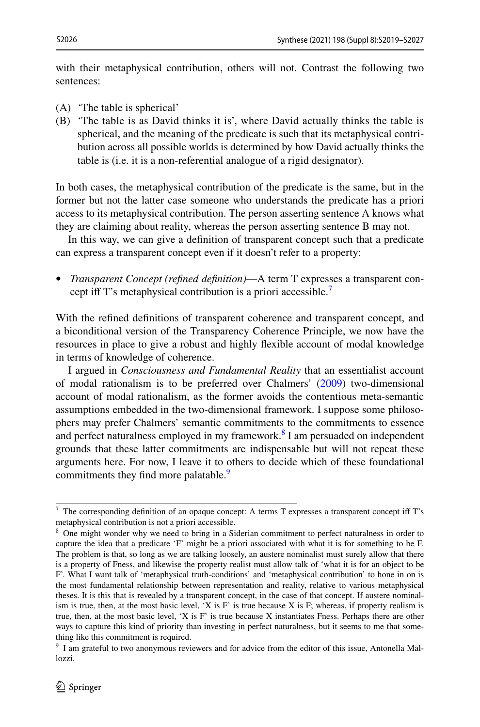with their metaphysical contribution, others will not. Contrast the following two sentences:

- (A) 'The table is spherical'
- (B) 'The table is as David thinks it is', where David actually thinks the table is spherical, and the meaning of the predicate is such that its metaphysical contribution across all possible worlds is determined by how David actually thinks the table is (i.e. it is a non-referential analogue of a rigid designator).

In both cases, the metaphysical contribution of the predicate is the same, but in the former but not the latter case someone who understands the predicate has a priori access to its metaphysical contribution. The person asserting sentence A knows what they are claiming about reality, whereas the person asserting sentence B may not.

In this way, we can give a defnition of transparent concept such that a predicate can express a transparent concept even if it doesn't refer to a property:

• *Transparent Concept (refned defnition)*—A term T expresses a transparent con-cept iff T's metaphysical contribution is a priori accessible.<sup>[7](#page-8-0)</sup>

With the refned defnitions of transparent coherence and transparent concept, and a biconditional version of the Transparency Coherence Principle, we now have the resources in place to give a robust and highly fexible account of modal knowledge in terms of knowledge of coherence.

I argued in *Consciousness and Fundamental Reality* that an essentialist account of modal rationalism is to be preferred over Chalmers' [\(2009](#page-9-3)) two-dimensional account of modal rationalism, as the former avoids the contentious meta-semantic assumptions embedded in the two-dimensional framework. I suppose some philosophers may prefer Chalmers' semantic commitments to the commitments to essence and perfect naturalness employed in my framework.<sup>[8](#page-8-1)</sup> I am persuaded on independent grounds that these latter commitments are indispensable but will not repeat these arguments here. For now, I leave it to others to decide which of these foundational commitments they find more palatable.<sup>9</sup>

<span id="page-8-0"></span><sup>7</sup> The corresponding defnition of an opaque concept: A terms T expresses a transparent concept if T's metaphysical contribution is not a priori accessible.

<span id="page-8-1"></span><sup>&</sup>lt;sup>8</sup> One might wonder why we need to bring in a Siderian commitment to perfect naturalness in order to capture the idea that a predicate 'F' might be a priori associated with what it is for something to be F. The problem is that, so long as we are talking loosely, an austere nominalist must surely allow that there is a property of Fness, and likewise the property realist must allow talk of 'what it is for an object to be F'. What I want talk of 'metaphysical truth-conditions' and 'metaphysical contribution' to hone in on is the most fundamental relationship between representation and reality, relative to various metaphysical theses. It is this that is revealed by a transparent concept, in the case of that concept. If austere nominalism is true, then, at the most basic level, 'X is F' is true because  $X$  is F; whereas, if property realism is true, then, at the most basic level, 'X is F' is true because X instantiates Fness. Perhaps there are other ways to capture this kind of priority than investing in perfect naturalness, but it seems to me that something like this commitment is required.

<span id="page-8-2"></span><sup>9</sup> I am grateful to two anonymous reviewers and for advice from the editor of this issue, Antonella Mallozzi.